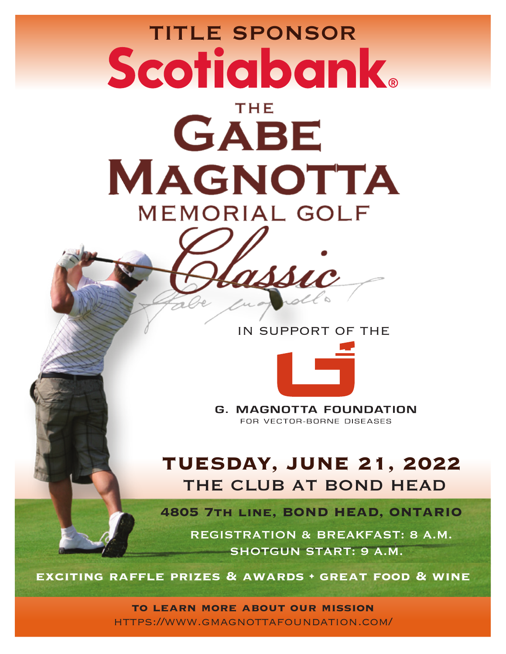# **TITLE SPONSOR Scotiabank**

**THE** 

GABE **MAGNOTTA MEMORIAL GOLF** 

IN SUPPORT OF THE



**G. MAGNOTTA FOUNDATION** FOR VECTOR-BORNE DISEASES

## TUESDAY, JUNE 21, 2022 THE CLUB AT BOND HEAD

**4805 7th line, BOND HEAD, ONTARIO**

REGISTRATION & BREAKFAST: 8 A.M. SHOTGUN START: 9 A.M.

**exciting raffle prizes & awards • great food & wine**

**to learn more about our mission** https://www.gmagnottafoundation.com/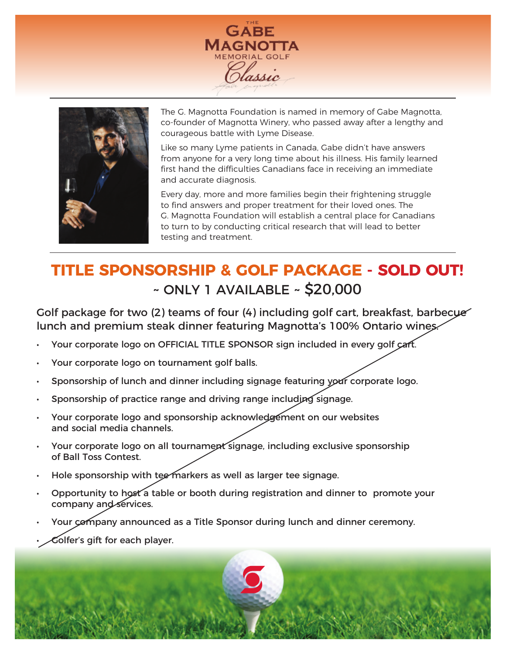



The G. Magnotta Foundation is named in memory of Gabe Magnotta, co-founder of Magnotta Winery, who passed away after a lengthy and courageous battle with Lyme Disease.

Like so many Lyme patients in Canada, Gabe didn't have answers from anyone for a very long time about his illness. His family learned first hand the difficulties Canadians face in receiving an immediate and accurate diagnosis.

Every day, more and more families begin their frightening struggle to find answers and proper treatment for their loved ones. The G. Magnotta Foundation will establish a central place for Canadians to turn to by conducting critical research that will lead to better testing and treatment.

## **TITLE SPONSORSHIP & GOLF PACKAGE - SOLD OUT!** ~ ONLY 1 AVAILABLE ~ \$20,000

Golf package for two (2) teams of four (4) including golf cart, breakfast, barbecue lunch and premium steak dinner featuring Magnotta's 100% Ontario wines.

- Your corporate logo on OFFICIAL TITLE SPONSOR sign included in every golf cart.
- Your corporate logo on tournament golf balls.
- Sponsorship of lunch and dinner including signage featuring your corporate logo.
- Sponsorship of practice range and driving range including signage.
- Your corporate logo and sponsorship acknowledgement on our websites and social media channels.
- Your corporate logo on all tournament signage, including exclusive sponsorship of Ball Toss Contest.
- Hole sponsorship with tee markers as well as larger tee signage.
- Opportunity to host a table or booth during registration and dinner to promote your company and services.
- Your company announced as a Title Sponsor during lunch and dinner ceremony.
- Golfer's gift for each player.

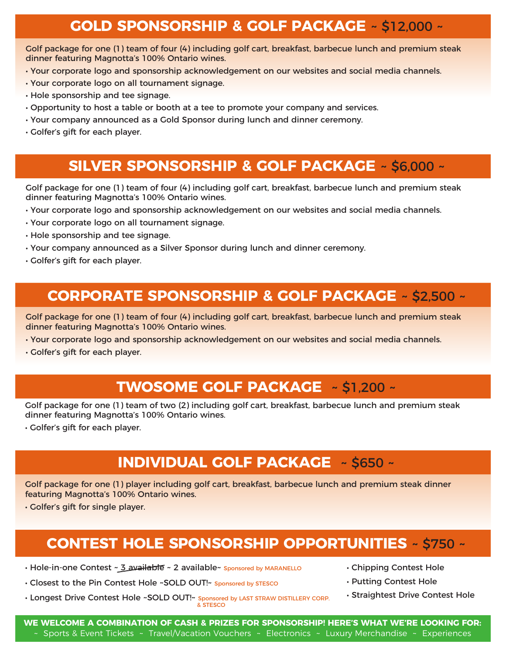#### **GOLD SPONSORSHIP & GOLF PACKAGE** ~ \$12,000 ~

Golf package for one (1) team of four (4) including golf cart, breakfast, barbecue lunch and premium steak dinner featuring Magnotta's 100% Ontario wines.

- Your corporate logo and sponsorship acknowledgement on our websites and social media channels.
- Your corporate logo on all tournament signage.
- Hole sponsorship and tee signage.
- Opportunity to host a table or booth at a tee to promote your company and services.
- Your company announced as a Gold Sponsor during lunch and dinner ceremony.
- Golfer's gift for each player.

#### **SILVER SPONSORSHIP & GOLF PACKAGE** ~ \$6,000 ~

Golf package for one (1) team of four (4) including golf cart, breakfast, barbecue lunch and premium steak dinner featuring Magnotta's 100% Ontario wines.

- Your corporate logo and sponsorship acknowledgement on our websites and social media channels.
- Your corporate logo on all tournament signage.
- Hole sponsorship and tee signage.
- Your company announced as a Silver Sponsor during lunch and dinner ceremony.
- Golfer's gift for each player.

#### **CORPORATE SPONSORSHIP & GOLF PACKAGE** ~ \$2,500 ~

Golf package for one (1) team of four (4) including golf cart, breakfast, barbecue lunch and premium steak dinner featuring Magnotta's 100% Ontario wines.

- Your corporate logo and sponsorship acknowledgement on our websites and social media channels.
- Golfer's gift for each player.

#### **TWOSOME GOLF PACKAGE** ~ \$1,200 ~

Golf package for one (1) team of two (2) including golf cart, breakfast, barbecue lunch and premium steak dinner featuring Magnotta's 100% Ontario wines.

• Golfer's gift for each player.

#### **INDIVIDUAL GOLF PACKAGE** ~ \$650 ~

Golf package for one (1) player including golf cart, breakfast, barbecue lunch and premium steak dinner featuring Magnotta's 100% Ontario wines.

• Golfer's gift for single player.

### **CONTEST HOLE SPONSORSHIP OPPORTUNITIES** ~ \$750 ~

- Hole-in-one Contest ~3 available ~ 2 available~ Sponsored by MARANELLO
- Closest to the Pin Contest Hole ~SOLD OUT!~ Sponsored by STESCO
- Longest Drive Contest Hole ~SOLD OUT!~ Sponsored by LAST STRAW DISTILLERY CORP. & STESCO
- Chipping Contest Hole
- Putting Contest Hole
- Straightest Drive Contest Hole

**WE WELCOME A COMBINATION OF CASH & PRIZES FOR SPONSORSHIP! HERE'S WHAT WE'RE LOOKING FOR:** ~ Sports & Event Tickets ~ Travel/Vacation Vouchers ~ Electronics ~ Luxury Merchandise ~ Experiences